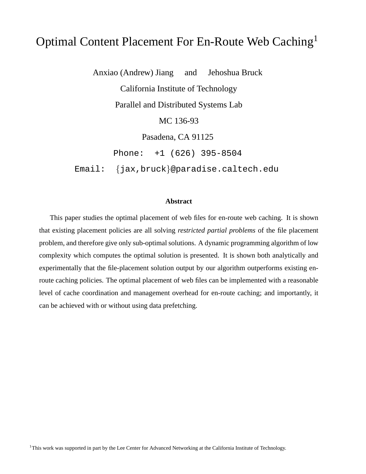# Optimal Content Placement For En-Route Web Caching<sup>1</sup>

Anxiao (Andrew) Jiang and Jehoshua Bruck California Institute of Technology Parallel and Distributed Systems Lab MC 136-93 Pasadena, CA 91125 Phone: +1 (626) 395-8504

Email: {jax,bruck}@paradise.caltech.edu

## **Abstract**

This paper studies the optimal placement of web files for en-route web caching. It is shown that existing placement policies are all solving *restricted partial problems* of the file placement problem, and therefore give only sub-optimal solutions. A dynamic programming algorithm of low complexity which computes the optimal solution is presented. It is shown both analytically and experimentally that the file-placement solution output by our algorithm outperforms existing enroute caching policies. The optimal placement of web files can be implemented with a reasonable level of cache coordination and management overhead for en-route caching; and importantly, it can be achieved with or without using data prefetching.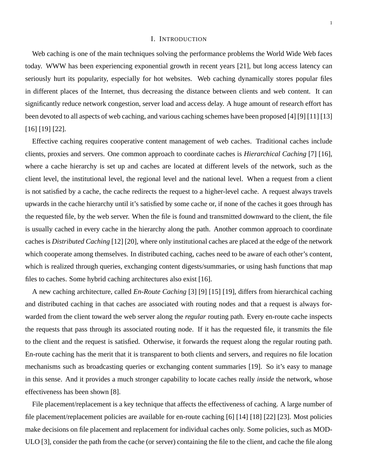#### I. INTRODUCTION

Web caching is one of the main techniques solving the performance problems the World Wide Web faces today. WWW has been experiencing exponential growth in recent years [21], but long access latency can seriously hurt its popularity, especially for hot websites. Web caching dynamically stores popular files in different places of the Internet, thus decreasing the distance between clients and web content. It can significantly reduce network congestion, server load and access delay. A huge amount of research effort has been devoted to all aspects of web caching, and various caching schemes have been proposed [4] [9] [11] [13] [16] [19] [22].

Effective caching requires cooperative content management of web caches. Traditional caches include clients, proxies and servers. One common approach to coordinate caches is *Hierarchical Caching* [7] [16], where a cache hierarchy is set up and caches are located at different levels of the network, such as the client level, the institutional level, the regional level and the national level. When a request from a client is not satisfied by a cache, the cache redirects the request to a higher-level cache. A request always travels upwards in the cache hierarchy until it's satisfied by some cache or, if none of the caches it goes through has the requested file, by the web server. When the file is found and transmitted downward to the client, the file is usually cached in every cache in the hierarchy along the path. Another common approach to coordinate caches is *Distributed Caching* [12] [20], where only institutional caches are placed at the edge of the network which cooperate among themselves. In distributed caching, caches need to be aware of each other's content, which is realized through queries, exchanging content digests/summaries, or using hash functions that map files to caches. Some hybrid caching architectures also exist [16].

A new caching architecture, called *En-Route Caching* [3] [9] [15] [19], differs from hierarchical caching and distributed caching in that caches are associated with routing nodes and that a request is always forwarded from the client toward the web server along the *regular* routing path. Every en-route cache inspects the requests that pass through its associated routing node. If it has the requested file, it transmits the file to the client and the request is satisfied. Otherwise, it forwards the request along the regular routing path. En-route caching has the merit that it is transparent to both clients and servers, and requires no file location mechanisms such as broadcasting queries or exchanging content summaries [19]. So it's easy to manage in this sense. And it provides a much stronger capability to locate caches really *inside* the network, whose effectiveness has been shown [8].

File placement/replacement is a key technique that affects the effectiveness of caching. A large number of file placement/replacement policies are available for en-route caching [6] [14] [18] [22] [23]. Most policies make decisions on file placement and replacement for individual caches only. Some policies, such as MOD-ULO [3], consider the path from the cache (or server) containing the file to the client, and cache the file along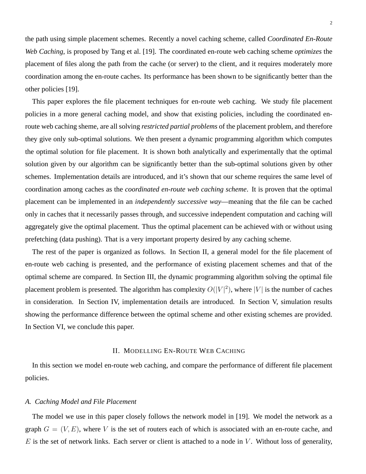$\overline{2}$ 

the path using simple placement schemes. Recently a novel caching scheme, called *Coordinated En-Route Web Caching*, is proposed by Tang et al. [19]. The coordinated en-route web caching scheme *optimizes* the placement of files along the path from the cache (or server) to the client, and it requires moderately more coordination among the en-route caches. Its performance has been shown to be significantly better than the other policies [19].

This paper explores the file placement techniques for en-route web caching. We study file placement policies in a more general caching model, and show that existing policies, including the coordinated enroute web caching sheme, are all solving *restricted partial problems* of the placement problem, and therefore they give only sub-optimal solutions. We then present a dynamic programming algorithm which computes the optimal solution for file placement. It is shown both analytically and experimentally that the optimal solution given by our algorithm can be significantly better than the sub-optimal solutions given by other schemes. Implementation details are introduced, and it's shown that our scheme requires the same level of coordination among caches as the *coordinated en-route web caching scheme*. It is proven that the optimal placement can be implemented in an *independently successive way*—meaning that the file can be cached only in caches that it necessarily passes through, and successive independent computation and caching will aggregately give the optimal placement. Thus the optimal placement can be achieved with or without using prefetching (data pushing). That is a very important property desired by any caching scheme.

The rest of the paper is organized as follows. In Section II, a general model for the file placement of en-route web caching is presented, and the performance of existing placement schemes and that of the optimal scheme are compared. In Section III, the dynamic programming algorithm solving the optimal file placement problem is presented. The algorithm has complexity  $O(|V|^2)$ , where |V| is the number of caches in consideration. In Section IV, implementation details are introduced. In Section V, simulation results showing the performance difference between the optimal scheme and other existing schemes are provided. In Section VI, we conclude this paper.

#### II. MODELLING EN-ROUTE WEB CACHING

In this section we model en-route web caching, and compare the performance of different file placement policies.

## *A. Caching Model and File Placement*

The model we use in this paper closely follows the network model in [19]. We model the network as a graph  $G = (V, E)$ , where V is the set of routers each of which is associated with an en-route cache, and  $E$  is the set of network links. Each server or client is attached to a node in  $V$ . Without loss of generality,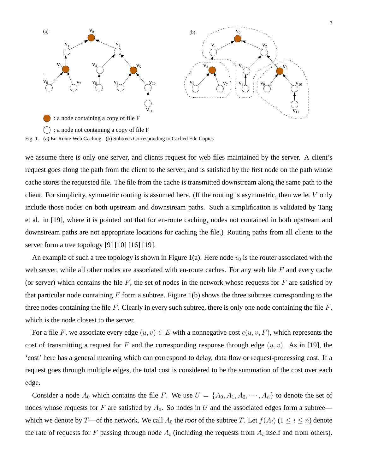

we assume there is only one server, and clients request for web files maintained by the server. A client's request goes along the path from the client to the server, and is satisfied by the first node on the path whose cache stores the requested file. The file from the cache is transmitted downstream along the same path to the client. For simplicity, symmetric routing is assumed here. (If the routing is asymmetric, then we let  $V$  only include those nodes on both upstream and downstream paths. Such a simplification is validated by Tang et al. in [19], where it is pointed out that for en-route caching, nodes not contained in both upstream and downstream paths are not appropriate locations for caching the file.) Routing paths from all clients to the server form a tree topology [9] [10] [16] [19].

An example of such a tree topology is shown in Figure 1(a). Here node  $v_0$  is the router associated with the web server, while all other nodes are associated with en-route caches. For any web file  $F$  and every cache (or server) which contains the file  $F$ , the set of nodes in the network whose requests for  $F$  are satisfied by that particular node containing  $F$  form a subtree. Figure 1(b) shows the three subtrees corresponding to the three nodes containing the file  $F$ . Clearly in every such subtree, there is only one node containing the file  $F$ , which is the node closest to the server.

For a file F, we associate every edge  $(u, v) \in E$  with a nonnegative cost  $c(u, v, F)$ , which represents the cost of transmitting a request for F and the corresponding response through edge  $(u, v)$ . As in [19], the 'cost' here has a general meaning which can correspond to delay, data flow or request-processing cost. If a request goes through multiple edges, the total cost is considered to be the summation of the cost over each edge.

Consider a node  $A_0$  which contains the file F. We use  $U = \{A_0, A_1, A_2, \dots, A_n\}$  to denote the set of nodes whose requests for F are satisfied by  $A_0$ . So nodes in U and the associated edges form a subtree which we denote by T—of the network. We call  $A_0$  the *root* of the subtree T. Let  $f(A_i)$  ( $1 \le i \le n$ ) denote the rate of requests for F passing through node  $A_i$  (including the requests from  $A_i$  itself and from others).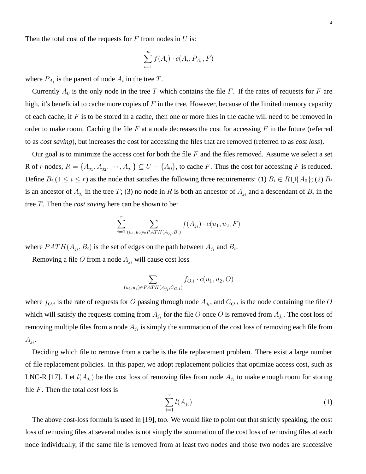Then the total cost of the requests for  $F$  from nodes in  $U$  is:

$$
\sum_{i=1}^{n} f(A_i) \cdot c(A_i, P_{A_i}, F)
$$

where  $P_{A_i}$  is the parent of node  $A_i$  in the tree T.

Currently  $A_0$  is the only node in the tree T which contains the file F. If the rates of requests for F are high, it's beneficial to cache more copies of  $F$  in the tree. However, because of the limited memory capacity of each cache, if  $F$  is to be stored in a cache, then one or more files in the cache will need to be removed in order to make room. Caching the file  $F$  at a node decreases the cost for accessing  $F$  in the future (referred to as *cost saving*), but increases the cost for accessing the files that are removed (referred to as *cost loss*).

Our goal is to minimize the access cost for both the file  $F$  and the files removed. Assume we select a set R of r nodes,  $R = \{A_{j_1}, A_{j_2}, \dots, A_{j_r}\} \subseteq U - \{A_0\}$ , to cache F. Thus the cost for accessing F is reduced. Define  $B_i$  ( $1 \le i \le r$ ) as the node that satisfies the following three requirements: (1)  $B_i \in R \cup \{A_0\}$ ; (2)  $B_i$ is an ancestor of  $A_{j_i}$  in the tree T; (3) no node in R is both an ancestor of  $A_{j_i}$  and a descendant of  $B_i$  in the tree T. Then the *cost saving* here can be shown to be:

$$
\sum_{i=1}^{r} \sum_{(u_1, u_2) \in PATH(A_{j_i}, B_i)} f(A_{j_i}) \cdot c(u_1, u_2, F)
$$

where  $PATH(A_{j_i}, B_i)$  is the set of edges on the path between  $A_{j_i}$  and  $B_i$ .

Removing a file O from a node  $A_{j_i}$  will cause cost loss

$$
\sum_{(u_1, u_2) \in PATH(A_{j_i}, C_{O,i})} f_{O,i} \cdot c(u_1, u_2, O)
$$

where  $f_{O,i}$  is the rate of requests for O passing through node  $A_{j_i}$ , and  $C_{O,i}$  is the node containing the file O which will satisfy the requests coming from  $A_{j_i}$  for the file O once O is removed from  $A_{j_i}$ . The cost loss of removing multiple files from a node  $A_{j_i}$  is simply the summation of the cost loss of removing each file from  $A_{j_i}$ .

Deciding which file to remove from a cache is the file replacement problem. There exist a large number of file replacement policies. In this paper, we adopt replacement policies that optimize access cost, such as LNC-R [17]. Let  $l(A_{j_i})$  be the cost loss of removing files from node  $A_{j_i}$  to make enough room for storing file F. Then the total *cost loss* is

$$
\sum_{i=1}^{r} l(A_{j_i}) \tag{1}
$$

The above cost-loss formula is used in [19], too. We would like to point out that strictly speaking, the cost loss of removing files at several nodes is not simply the summation of the cost loss of removing files at each node individually, if the same file is removed from at least two nodes and those two nodes are successive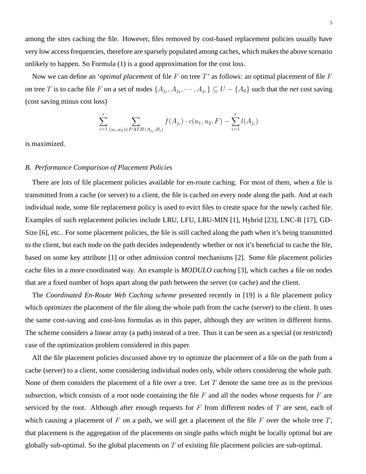among the sites caching the file. However, files removed by cost-based replacement policies usually have very low access frequencies, therefore are sparsely populated among caches, which makes the above scenario unlikely to happen. So Formula (1) is a good approximation for the cost loss.

Now we can define an *'optimal placement* of file F on tree T' as follows: an optimal placement of file F on tree T is to cache file F on a set of nodes  $\{A_{j_1}, A_{j_2}, \cdots, A_{j_r}\} \subseteq U - \{A_0\}$  such that the *net* cost saving (cost saving minus cost loss)

$$
\sum_{i=1}^{r} \sum_{(u_1, u_2) \in PATH(A_{j_i}, B_i)} f(A_{j_i}) \cdot c(u_1, u_2, F) - \sum_{i=1}^{r} l(A_{j_i})
$$

is maximized.

## *B. Performance Comparison of Placement Policies*

There are lots of file placement policies available for en-route caching. For most of them, when a file is transmitted from a cache (or server) to a client, the file is cached on every node along the path. And at each individual node, some file replacement policy is used to evict files to create space for the newly cached file. Examples of such replacement policies include LRU, LFU, LRU-MIN [1], Hybrid [23], LNC-R [17], GD-Size [6], etc.. For some placement policies, the file is still cached along the path when it's being transmitted to the client, but each node on the path decides independently whether or not it's beneficial to cache the file, based on some key attribute [1] or other admission control mechanisms [2]. Some file placement policies cache files in a more coordinated way. An example is *MODULO caching* [3], which caches a file on nodes that are a fixed number of hops apart along the path between the server (or cache) and the client.

The *Coordinated En-Route Web Caching scheme* presented recently in [19] is a file placement policy which *optimizes* the placement of the file along the whole path from the cache (server) to the client. It uses the same cost-saving and cost-loss formulas as in this paper, although they are written in different forms. The scheme considers a linear array (a path) instead of a tree. Thus it can be seen as a special (or restricted) case of the optimization problem considered in this paper.

All the file placement policies discussed above try to optimize the placement of a file on the path from a cache (server) to a client, some considering individual nodes only, while others considering the whole path. None of them considers the placement of a file over a tree. Let  $T$  denote the same tree as in the previous subsection, which consists of a *root* node containing the file F and all the nodes whose requests for F are serviced by the root. Although after enough requests for  $F$  from different nodes of  $T$  are sent, each of which causing a placement of  $F$  on a path, we will get a placement of the file  $F$  over the whole tree  $T$ , that placement is the aggregation of the placements on single paths which might be locally optimal but are globally sub-optimal. So the global placements on  $T$  of existing file placement policies are sub-optimal.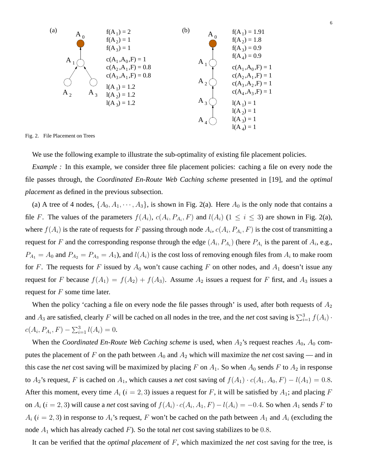

Fig. 2. File Placement on Trees

We use the following example to illustrate the sub-optimality of existing file placement policies.

*Example*: In this example, we consider three file placement policies: caching a file on every node the file passes through, the *Coordinated En-Route Web Caching scheme* presented in [19], and the *optimal placement* as defined in the previous subsection.

(a) A tree of 4 nodes,  $\{A_0, A_1, \dots, A_3\}$ , is shown in Fig. 2(a). Here  $A_0$  is the only node that contains a file F. The values of the parameters  $f(A_i)$ ,  $c(A_i, P_{A_i}, F)$  and  $l(A_i)$  ( $1 \le i \le 3$ ) are shown in Fig. 2(a), where  $f(A_i)$  is the rate of requests for F passing through node  $A_i$ ,  $c(A_i, P_{A_i}, F)$  is the cost of transmitting a request for F and the corresponding response through the edge  $(A_i, P_{A_i})$  (here  $P_{A_i}$  is the parent of  $A_i$ , e.g.,  $P_{A_1} = A_0$  and  $P_{A_2} = P_{A_3} = A_1$ ), and  $l(A_i)$  is the cost loss of removing enough files from  $A_i$  to make room for F. The requests for F issued by  $A_0$  won't cause caching F on other nodes, and  $A_1$  doesn't issue any request for F because  $f(A_1) = f(A_2) + f(A_3)$ . Assume  $A_2$  issues a request for F first, and  $A_3$  issues a request for  $F$  some time later.

When the policy 'caching a file on every node the file passes through' is used, after both requests of  $A_2$ and  $A_3$  are satisfied, clearly F will be cached on all nodes in the tree, and the *net* cost saving is  $\sum_{i=1}^{3} f(A_i)$ .  $c(A_i, P_{A_i}, F) - \sum_{i=1}^{3} l(A_i) = 0.$ 

When the *Coordinated En-Route Web Caching scheme* is used, when  $A_2$ 's request reaches  $A_0$ ,  $A_0$  computes the placement of F on the path between  $A_0$  and  $A_2$  which will maximize the *net* cost saving — and in this case the *net* cost saving will be maximized by placing F on  $A_1$ . So when  $A_0$  sends F to  $A_2$  in response to  $A_2$ 's request, F is cached on  $A_1$ , which causes a *net* cost saving of  $f(A_1) \cdot c(A_1, A_0, F) - l(A_1) = 0.8$ . After this moment, every time  $A_i$  ( $i = 2, 3$ ) issues a request for F, it will be satisfied by  $A_1$ ; and placing F on  $A_i$  ( $i = 2, 3$ ) will cause a *net* cost saving of  $f(A_i) \cdot c(A_i, A_1, F) - l(A_i) = -0.4$ . So when  $A_1$  sends F to  $A_i$  ( $i = 2, 3$ ) in response to  $A_i$ 's request, F won't be cached on the path between  $A_1$  and  $A_i$  (excluding the node  $A_1$  which has already cached F). So the total *net* cost saving stabilizes to be 0.8.

It can be verified that the *optimal placement* of F, which maximized the *net* cost saving for the tree, is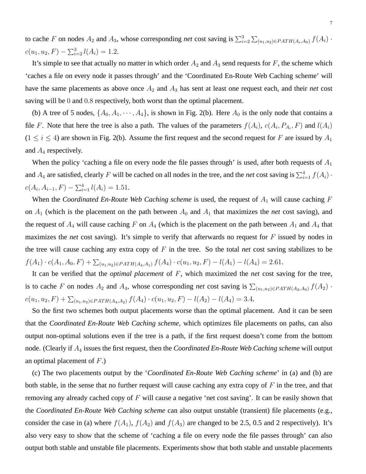to cache F on nodes  $A_2$  and  $A_3$ , whose corresponding *net* cost saving is  $\sum_{i=2}^{3}$  $\sum_{(u_1,u_2)\in PATH(A_i,A_0)} f(A_i)$ .  $c(u_1, u_2, F) - \sum_{i=2}^{3} l(A_i) = 1.2.$ 

It's simple to see that actually no matter in which order  $A_2$  and  $A_3$  send requests for F, the scheme which 'caches a file on every node it passes through' and the 'Coordinated En-Route Web Caching scheme' will have the same placements as above once  $A_2$  and  $A_3$  has sent at least one request each, and their *net* cost saving will be 0 and 0.8 respectively, both worst than the optimal placement.

(b) A tree of 5 nodes,  $\{A_0, A_1, \dots, A_4\}$ , is shown in Fig. 2(b). Here  $A_0$  is the only node that contains a file F. Note that here the tree is also a path. The values of the parameters  $f(A_i)$ ,  $c(A_i, P_{A_i}, F)$  and  $l(A_i)$  $(1 \le i \le 4)$  are shown in Fig. 2(b). Assume the first request and the second request for F are issued by  $A_1$ and  $A_4$  respectively.

When the policy 'caching a file on every node the file passes through' is used, after both requests of  $A_1$ and  $A_4$  are satisfied, clearly F will be cached on all nodes in the tree, and the *net* cost saving is  $\sum_{i=1}^{4} f(A_i)$ .  $c(A_i, A_{i-1}, F) - \sum_{i=1}^{4} l(A_i) = 1.51.$ 

When the *Coordinated En-Route Web Caching scheme* is used, the request of  $A_1$  will cause caching F on  $A_1$  (which is the placement on the path between  $A_0$  and  $A_1$  that maximizes the *net* cost saving), and the request of  $A_4$  will cause caching F on  $A_4$  (which is the placement on the path between  $A_1$  and  $A_4$  that maximizes the *net* cost saving). It's simple to verify that afterwards no request for F issued by nodes in the tree will cause caching any extra copy of  $F$  in the tree. So the total *net* cost saving stabilizes to be  $f(A_1) \cdot c(A_1, A_0, F) + \sum_{(u_1, u_2) \in PATH(A_4, A_1)} f(A_4) \cdot c(u_1, u_2, F) - l(A_1) - l(A_4) = 2.61.$ 

It can be verified that the *optimal placement* of F, which maximized the *net* cost saving for the tree, is to cache F on nodes  $A_2$  and  $A_4$ , whose corresponding *net* cost saving is  $\sum_{(u_1,u_2)\in PATH(A_2,A_0)} f(A_2)$ .  $c(u_1, u_2, F) + \sum_{(u_1, u_2) \in PATH(A_4, A_2)} f(A_4) \cdot c(u_1, u_2, F) - l(A_2) - l(A_4) = 3.4.$ 

So the first two schemes both output placements worse than the optimal placement. And it can be seen that the *Coordinated En-Route Web Caching scheme*, which optimizes file placements on paths, can also output non-optimal solutions even if the tree is a path, if the first request doesn't come from the bottom node. (Clearly if A<sup>4</sup> issues the first request, then the *Coordinated En-Route Web Caching scheme* will output an optimal placement of  $F$ .)

(c) The two placements output by the '*Coordinated En-Route Web Caching scheme*' in (a) and (b) are both stable, in the sense that no further request will cause caching any extra copy of  $F$  in the tree, and that removing any already cached copy of  $F$  will cause a negative 'net cost saving'. It can be easily shown that the *Coordinated En-Route Web Caching scheme* can also output unstable (transient) file placements (e.g., consider the case in (a) where  $f(A_1)$ ,  $f(A_2)$  and  $f(A_3)$  are changed to be 2.5, 0.5 and 2 respectively). It's also very easy to show that the scheme of 'caching a file on every node the file passes through' can also output both stable and unstable file placements. Experiments show that both stable and unstable placements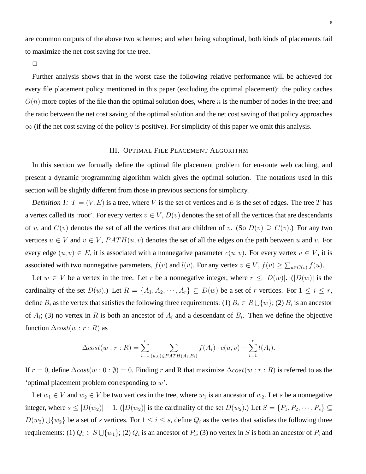are common outputs of the above two schemes; and when being suboptimal, both kinds of placements fail to maximize the net cost saving for the tree.

 $\Box$ 

Further analysis shows that in the worst case the following relative performance will be achieved for every file placement policy mentioned in this paper (excluding the optimal placement): the policy caches  $O(n)$  more copies of the file than the optimal solution does, where n is the number of nodes in the tree; and the ratio between the net cost saving of the optimal solution and the net cost saving of that policy approaches  $\infty$  (if the net cost saving of the policy is positive). For simplicity of this paper we omit this analysis.

#### III. OPTIMAL FILE PLACEMENT ALGORITHM

In this section we formally define the optimal file placement problem for en-route web caching, and present a dynamic programming algorithm which gives the optimal solution. The notations used in this section will be slightly different from those in previous sections for simplicity.

*Definition 1:*  $T = (V, E)$  is a tree, where V is the set of vertices and E is the set of edges. The tree T has a vertex called its 'root'. For every vertex  $v \in V$ ,  $D(v)$  denotes the set of all the vertices that are descendants of v, and  $C(v)$  denotes the set of all the vertices that are children of v. (So  $D(v) \supseteq C(v)$ .) For any two vertices  $u \in V$  and  $v \in V$ ,  $PATH(u, v)$  denotes the set of all the edges on the path between u and v. For every edge  $(u, v) \in E$ , it is associated with a nonnegative parameter  $c(u, v)$ . For every vertex  $v \in V$ , it is associated with two nonnegative parameters,  $f(v)$  and  $l(v)$ . For any vertex  $v \in V$ ,  $f(v) \ge \sum_{u \in C(v)} f(u)$ .

Let  $w \in V$  be a vertex in the tree. Let r be a nonnegative integer, where  $r \leq |D(w)|$ .  $(|D(w)|$  is the cardinality of the set  $D(w)$ .) Let  $R = \{A_1, A_2, \dots, A_r\} \subseteq D(w)$  be a set of r vertices. For  $1 \le i \le r$ , define  $B_i$  as the vertex that satisfies the following three requirements: (1)  $B_i \in R \cup \{w\}$ ; (2)  $B_i$  is an ancestor of  $A_i$ ; (3) no vertex in R is both an ancestor of  $A_i$  and a descendant of  $B_i$ . Then we define the objective function  $\triangle cost(w : r : R)$  as

$$
\Delta cost(w : r : R) = \sum_{i=1}^{r} \sum_{(u,v) \in PATH(A_i,B_i)} f(A_i) \cdot c(u,v) - \sum_{i=1}^{r} l(A_i).
$$

If  $r = 0$ , define  $\Delta cost(w: 0: \emptyset) = 0$ . Finding r and R that maximize  $\Delta cost(w: r: R)$  is referred to as the 'optimal placement problem corresponding to w'.

Let  $w_1 \in V$  and  $w_2 \in V$  be two vertices in the tree, where  $w_1$  is an ancestor of  $w_2$ . Let s be a nonnegative integer, where  $s \leq |D(w_2)| + 1$ .  $(|D(w_2)|$  is the cardinality of the set  $D(w_2)$ .) Let  $S = \{P_1, P_2, \dots, P_s\} \subseteq$  $D(w_2) \cup \{w_2\}$  be a set of s vertices. For  $1 \le i \le s$ , define  $Q_i$  as the vertex that satisfies the following three requirements: (1)  $Q_i \in S \cup \{w_1\}$ ; (2)  $Q_i$  is an ancestor of  $P_i$ ; (3) no vertex in S is both an ancestor of  $P_i$  and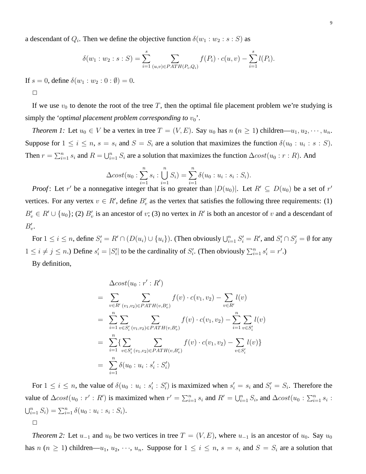a descendant of  $Q_i$ . Then we define the objective function  $\delta(w_1:w_2:s:S)$  as

$$
\delta(w_1:w_2:s:S) = \sum_{i=1}^s \sum_{(u,v)\in PATH(P_i,Q_i)} f(P_i) \cdot c(u,v) - \sum_{i=1}^s l(P_i).
$$

If  $s = 0$ , define  $\delta(w_1 : w_2 : 0 : \emptyset) = 0$ .

 $\Box$ 

If we use  $v_0$  to denote the root of the tree T, then the optimal file placement problem we're studying is simply the *'optimal placement problem corresponding to*  $v_0$ '.

*Theorem 1:* Let  $u_0 \in V$  be a vertex in tree  $T = (V, E)$ . Say  $u_0$  has  $n (n \ge 1)$  children— $u_1, u_2, \dots, u_n$ . Suppose for  $1 \le i \le n$ ,  $s = s_i$  and  $S = S_i$  are a solution that maximizes the function  $\delta(u_0 : u_i : s : S)$ . Then  $r = \sum_{i=1}^n s_i$  and  $R = \bigcup_{i=1}^n S_i$  are a solution that maximizes the function  $\Delta cost(u_0 : r : R)$ . And

$$
\Delta cost(u_0: \sum_{i=1}^n s_i: \bigcup_{i=1}^n S_i) = \sum_{i=1}^n \delta(u_0: u_i: s_i: S_i).
$$

*Proof*: Let r' be a nonnegative integer that is no greater than  $|D(u_0)|$ . Let  $R' \subseteq D(u_0)$  be a set of r' vertices. For any vertex  $v \in R'$ , define  $B'_v$  as the vertex that satisfies the following three requirements: (1)  $B'_v \in R' \cup \{u_0\}$ ; (2)  $B'_v$  is an ancestor of v; (3) no vertex in R' is both an ancestor of v and a descendant of  $B'_v$ .

For  $1 \le i \le n$ , define  $S_i' = R' \cap (D(u_i) \cup \{u_i\})$ . (Then obviously  $\bigcup_{i=1}^n S_i' = R'$ , and  $S_i' \cap S_j' = \emptyset$  for any  $1 \leq i \neq j \leq n$ .) Define  $s'_i = |S'_i|$  to be the cardinality of  $S'_i$ . (Then obviously  $\sum_{i=1}^n s'_i = r'$ .)

By definition,

$$
\begin{split}\n&\Delta cost(u_0:r':R')\\
&= \sum_{v \in R'\ (v_1,v_2) \in PATH(v,B'_v)} f(v) \cdot c(v_1,v_2) - \sum_{v \in R'} l(v) \\
&= \sum_{i=1}^n \sum_{v \in S'_i} \sum_{(v_1,v_2) \in PATH(v,B'_v)} f(v) \cdot c(v_1,v_2) - \sum_{i=1}^n \sum_{v \in S'_i} l(v) \\
&= \sum_{i=1}^n \left\{ \sum_{v \in S'_i} \sum_{(v_1,v_2) \in PATH(v,B'_v)} f(v) \cdot c(v_1,v_2) - \sum_{v \in S'_i} l(v) \right\} \\
&= \sum_{i=1}^n \delta(u_0:u_i:s'_i:S'_i)\n\end{split}
$$

For  $1 \le i \le n$ , the value of  $\delta(u_0 : u_i : s'_i : S'_i)$  is maximized when  $s'_i = s_i$  and  $S'_i = S_i$ . Therefore the value of  $\triangle cost(u_0 : r' : R')$  is maximized when  $r' = \sum_{i=1}^n s_i$  and  $R' = \bigcup_{i=1}^n S_i$ , and  $\triangle cost(u_0 : \sum_{i=1}^n s_i)$  $\bigcup_{i=1}^n S_i$ ) =  $\sum_{i=1}^n \delta(u_0:u_i: s_i: S_i)$ .  $\Box$ 

*Theorem 2:* Let  $u_{-1}$  and  $u_0$  be two vertices in tree  $T = (V, E)$ , where  $u_{-1}$  is an ancestor of  $u_0$ . Say  $u_0$ has  $n (n \ge 1)$  children— $u_1, u_2, \dots, u_n$ . Suppose for  $1 \le i \le n$ ,  $s = s_i$  and  $S = S_i$  are a solution that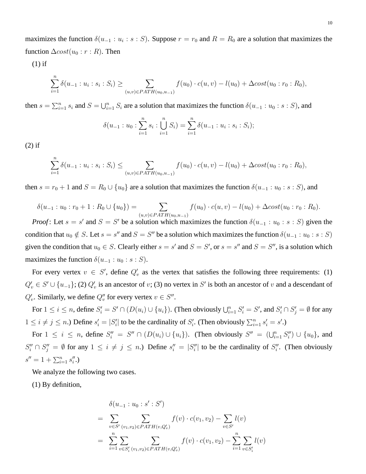maximizes the function  $\delta(u_{-1} : u_i : s : S)$ . Suppose  $r = r_0$  and  $R = R_0$  are a solution that maximizes the function  $\Delta cost(u_0 : r : R)$ . Then

(1) if

$$
\sum_{i=1}^{n} \delta(u_{-1} : u_i : s_i : S_i) \ge \sum_{(u,v) \in PATH(u_0, u_{-1})} f(u_0) \cdot c(u,v) - l(u_0) + \Delta cost(u_0 : r_0 : R_0),
$$

then  $s = \sum_{i=1}^n s_i$  and  $S = \bigcup_{i=1}^n S_i$  are a solution that maximizes the function  $\delta(u_{-1} : u_0 : s : S)$ , and

$$
\delta(u_{-1} : u_0 : \sum_{i=1}^n s_i : \bigcup_{i=1}^n S_i) = \sum_{i=1}^n \delta(u_{-1} : u_i : s_i : S_i);
$$

(2) if

$$
\sum_{i=1}^{n} \delta(u_{-1} : u_i : s_i : S_i) \leq \sum_{(u,v) \in PATH(u_0, u_{-1})} f(u_0) \cdot c(u,v) - l(u_0) + \Delta cost(u_0 : r_0 : R_0),
$$

then  $s = r_0 + 1$  and  $S = R_0 \cup \{u_0\}$  are a solution that maximizes the function  $\delta(u_{-1} : u_0 : s : S)$ , and

$$
\delta(u_{-1}: u_0: r_0+1: R_0\cup \{u_0\}) = \sum_{(u,v)\in PATH(u_0,u_{-1})} f(u_0)\cdot c(u,v) - l(u_0) + \Delta cost(u_0:r_0: R_0).
$$

*Proof*: Let  $s = s'$  and  $S = S'$  be a solution which maximizes the function  $\delta(u_{-1} : u_0 : s : S)$  given the condition that  $u_0 \notin S$ . Let  $s = s''$  and  $S = S''$  be a solution which maximizes the function  $\delta(u_{-1} : u_0 : s : S)$ given the condition that  $u_0 \in S$ . Clearly either  $s = s'$  and  $S = S'$ , or  $s = s''$  and  $S = S''$ , is a solution which maximizes the function  $\delta(u_{-1} : u_0 : s : S)$ .

For every vertex  $v \in S'$ , define  $Q'_v$  as the vertex that satisfies the following three requirements: (1)  $Q'_v \in S' \cup \{u_{-1}\};$  (2)  $Q'_v$  is an ancestor of v; (3) no vertex in S' is both an ancestor of v and a descendant of  $Q'_v$ . Similarly, we define  $Q''_v$  for every vertex  $v \in S''$ .

For  $1 \le i \le n$ , define  $S_i' = S' \cap (D(u_i) \cup \{u_i\})$ . (Then obviously  $\bigcup_{i=1}^n S_i' = S'$ , and  $S_i' \cap S_j' = \emptyset$  for any  $1 \leq i \neq j \leq n$ .) Define  $s'_i = |S'_i|$  to be the cardinality of  $S'_i$ . (Then obviously  $\sum_{i=1}^n s'_i = s'$ .)

For  $1 \leq i \leq n$ , define  $S_i'' = S'' \cap (D(u_i) \cup \{u_i\})$ . (Then obviously  $S'' = (\bigcup_{i=1}^n S_i'') \cup \{u_0\}$ , and  $S_i'' \cap S_j'' = \emptyset$  for any  $1 \le i \ne j \le n$ .) Define  $s_i'' = |S_i''|$  to be the cardinality of  $S_i''$ . (Then obviously  $s'' = 1 + \sum_{i=1}^n s''_i.$ 

We analyze the following two cases.

(1) By definition,

$$
\delta(u_{-1} : u_0 : s' : S')
$$
\n
$$
= \sum_{v \in S'} \sum_{(v_1, v_2) \in PATH(v, Q'_v)} f(v) \cdot c(v_1, v_2) - \sum_{v \in S'} l(v)
$$
\n
$$
= \sum_{i=1}^n \sum_{v \in S'_i} \sum_{(v_1, v_2) \in PATH(v, Q'_v)} f(v) \cdot c(v_1, v_2) - \sum_{i=1}^n \sum_{v \in S'_i} l(v)
$$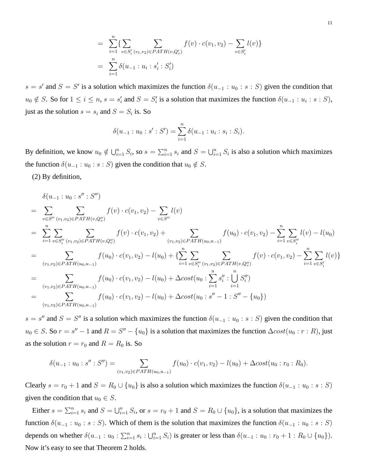$$
= \sum_{i=1}^{n} \{ \sum_{v \in S'_i} \sum_{(v_1, v_2) \in PATH(v, Q'_v)} f(v) \cdot c(v_1, v_2) - \sum_{v \in S'_i} l(v) \}
$$
  

$$
= \sum_{i=1}^{n} \delta(u_{-1} : u_i : s'_i : S'_i)
$$

 $s = s'$  and  $S = S'$  is a solution which maximizes the function  $\delta(u_{-1} : u_0 : s : S)$  given the condition that  $u_0 \notin S$ . So for  $1 \le i \le n$ ,  $s = s'_i$  and  $S = S'_i$  is a solution that maximizes the function  $\delta(u_{-1} : u_i : s : S)$ , just as the solution  $s = s_i$  and  $S = S_i$  is. So

$$
\delta(u_{-1} : u_0 : s' : S') = \sum_{i=1}^n \delta(u_{-1} : u_i : s_i : S_i).
$$

By definition, we know  $u_0 \notin \bigcup_{i=1}^n S_i$ , so  $s = \sum_{i=1}^n s_i$  and  $S = \bigcup_{i=1}^n S_i$  is also a solution which maximizes the function  $\delta(u_{-1} : u_0 : s : S)$  given the condition that  $u_0 \notin S$ .

(2) By definition,

$$
\delta(u_{-1}:u_{0}:s'':S'')
$$
\n
$$
= \sum_{v \in S''} \sum_{(v_{1},v_{2}) \in PATH(v,Q'_{v})} f(v) \cdot c(v_{1},v_{2}) - \sum_{v \in S''} l(v)
$$
\n
$$
= \sum_{i=1}^{n} \sum_{v \in S''_{i}} \sum_{(v_{1},v_{2}) \in PATH(v,Q'_{v})} f(v) \cdot c(v_{1},v_{2}) + \sum_{(v_{1},v_{2}) \in PATH(u_{0},u_{-1})} f(u_{0}) \cdot c(v_{1},v_{2}) - \sum_{i=1}^{n} \sum_{v \in S''_{i}} l(v) - l(u_{0})
$$
\n
$$
= \sum_{(v_{1},v_{2}) \in PATH(u_{0},u_{-1})} f(u_{0}) \cdot c(v_{1},v_{2}) - l(u_{0}) + \sum_{i=1}^{n} \sum_{v \in S''_{i}} \sum_{(v_{1},v_{2}) \in PATH(v,Q''_{v})} f(v) \cdot c(v_{1},v_{2}) - \sum_{i=1}^{n} \sum_{v \in S'_{i}} l(v) \}
$$
\n
$$
= \sum_{(v_{1},v_{2}) \in PATH(u_{0},u_{-1})} f(u_{0}) \cdot c(v_{1},v_{2}) - l(u_{0}) + \Delta cost(u_{0}: \sum_{i=1}^{n} S''_{i}: \bigcup_{i=1}^{n} S''_{i})
$$
\n
$$
= \sum_{(v_{1},v_{2}) \in PATH(u_{0},u_{-1})} f(u_{0}) \cdot c(v_{1},v_{2}) - l(u_{0}) + \Delta cost(u_{0}:S'' - 1:S'' - {u_{0}})
$$

 $s = s''$  and  $S = S''$  is a solution which maximizes the function  $\delta(u_{-1} : u_0 : s : S)$  given the condition that  $u_0 \in S$ . So  $r = s'' - 1$  and  $R = S'' - \{u_0\}$  is a solution that maximizes the function  $\Delta cost(u_0 : r : R)$ , just as the solution  $r = r_0$  and  $R = R_0$  is. So

$$
\delta(u_{-1}: u_0: s'': S'') = \sum_{(v_1, v_2) \in PATH(u_0, u_{-1})} f(u_0) \cdot c(v_1, v_2) - l(u_0) + \Delta cost(u_0: r_0: R_0).
$$

Clearly  $s = r_0 + 1$  and  $S = R_0 \cup \{u_0\}$  is also a solution which maximizes the function  $\delta(u_{-1} : u_0 : s : S)$ given the condition that  $u_0 \in S$ .

Either  $s = \sum_{i=1}^n s_i$  and  $S = \bigcup_{i=1}^n S_i$ , or  $s = r_0 + 1$  and  $S = R_0 \cup \{u_0\}$ , is a solution that maximizes the function  $\delta(u_{-1} : u_0 : s : S)$ . Which of them is the solution that maximizes the function  $\delta(u_{-1} : u_0 : s : S)$ depends on whether  $\delta(u_{-1} : u_0 : \sum_{i=1}^n s_i : \bigcup_{i=1}^n S_i)$  is greater or less than  $\delta(u_{-1} : u_0 : r_0 + 1 : R_0 \cup \{u_0\})$ . Now it's easy to see that Theorem 2 holds.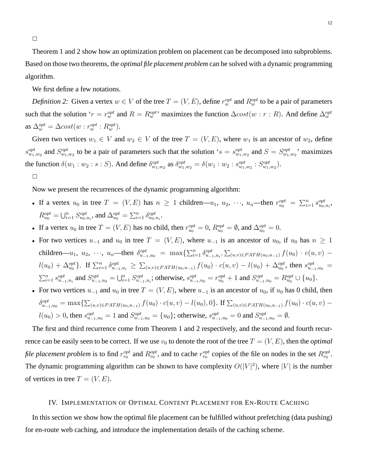Theorem 1 and 2 show how an optimization problem on placement can be decomposed into subproblems. Based on those two theorems, the *optimal file placement problem* can be solved with a dynamic programming algorithm.

We first define a few notations.

*Definition 2:* Given a vertex  $w \in V$  of the tree  $T = (V, E)$ , define  $r_w^{opt}$  and  $R_w^{opt}$  to be a pair of parameters such that the solution ' $r = r_w^{opt}$  and  $R = R_w^{opt}$ ' maximizes the function  $\Delta cost(w : r : R)$ . And define  $\Delta_w^{opt}$ as  $\Delta_{w}^{opt} = \Delta cost(w : r_w^{opt} : R_w^{opt}).$ 

Given two vertices  $w_1 \in V$  and  $w_2 \in V$  of the tree  $T = (V, E)$ , where  $w_1$  is an ancestor of  $w_2$ , define  $s_{w_1,w_2}^{opt}$  and  $S_{w_1,w_2}^{opt}$  to be a pair of parameters such that the solution 's =  $s_{w_1,w_2}^{opt}$  and  $S = S_{w_1,w_2}^{opt}$ ' maximizes the function  $\delta(w_1:w_2:s:S)$ . And define  $\delta_{w_1,w_2}^{opt}$  as  $\delta_{w_1,w_2}^{opt} = \delta(w_1:w_2:s_{w_1,w_2}^{opt}:S_{w_1,w_2}^{opt})$ .

#### $\Box$

Now we present the recurrences of the dynamic programming algorithm:

- If a vertex  $u_0$  in tree  $T = (V, E)$  has  $n \ge 1$  children— $u_1, u_2, \dots, u_n$ —then  $r_{u_0}^{opt} = \sum_{i=1}^n s_{u_0, u_i}^{opt}$ ,  $R_{u_0}^{opt} = \bigcup_{i=1}^n S_{u_0, u_i}^{opt}$ , and  $\Delta_{u_0}^{opt} = \sum_{i=1}^n \delta_{u_0, u_i}^{opt}$ .
- If a vertex  $u_0$  in tree  $T = (V, E)$  has no child, then  $r_{u_0}^{opt} = 0$ ,  $R_{u_0}^{opt} = \emptyset$ , and  $\Delta_{u_0}^{opt} = 0$ .
- For two vertices  $u_{-1}$  and  $u_0$  in tree  $T = (V, E)$ , where  $u_{-1}$  is an ancestor of  $u_0$ , if  $u_0$  has  $n \ge 1$ children—u<sub>1</sub>, u<sub>2</sub>, ···, u<sub>n</sub>—then  $\delta_{u_{-1},u_0}^{opt} = \max\{\sum_{i=1}^n \delta_{u_{-1},u_i}^{opt}, \sum_{(u,v)\in PATH(u_0,u_{-1})} f(u_0) \cdot c(u,v)$   $l(u_0) + \Delta_{u_0}^{opt}$ . If  $\sum_{i=1}^n \delta_{u_{-1},u_i}^{opt} \geq \sum_{(u,v) \in PATH(u_0,u_{-1})} f(u_0) \cdot c(u,v) - l(u_0) + \Delta_{u_0}^{opt}$ , then  $s_{u_{-1},u_0}^{opt}$  $\sum_{i=1}^{n} s_{u_{-1},u_i}^{opt}$  and  $S_{u_{-1},u_0}^{opt} = \bigcup_{i=1}^{n} S_{u_{-1},u_i}^{opt}$ ; otherwise,  $s_{u_{-1},u_0}^{opt} = r_{u_0}^{opt} + 1$  and  $S_{u_{-1},u_0}^{opt} = R_{u_0}^{opt} \cup \{u_0\}$ .
- For two vertices  $u_{-1}$  and  $u_0$  in tree  $T = (V, E)$ , where  $u_{-1}$  is an ancestor of  $u_0$ , if  $u_0$  has 0 child, then  $\delta_{u_{-1},u_0}^{opt} = \max\{\sum_{(u,v)\in PATH(u_0,u_{-1})} f(u_0)\cdot c(u,v) - l(u_0),0\}.$  If  $\sum_{(u,v)\in PATH(u_0,u_{-1})} f(u_0)\cdot c(u,v)$  $l(u_0) > 0$ , then  $s_{u_{-1},u_0}^{opt} = 1$  and  $S_{u_{-1},u_0}^{opt} = \{u_0\}$ ; otherwise,  $s_{u_{-1},u_0}^{opt} = 0$  and  $S_{u_{-1},u_0}^{opt} = \emptyset$ .

The first and third recurrence come from Theorem 1 and 2 respectively, and the second and fourth recurrence can be easily seen to be correct. If we use  $v_0$  to denote the root of the tree  $T = (V, E)$ , then the *optimal file placement problem* is to find  $r_{v_0}^{opt}$  and  $R_{v_0}^{opt}$ , and to cache  $r_{v_0}^{opt}$  copies of the file on nodes in the set  $R_{v_0}^{opt}$ . The dynamic programming algorithm can be shown to have complexity  $O(|V|^2)$ , where  $|V|$  is the number of vertices in tree  $T = (V, E)$ .

## IV. IMPLEMENTATION OF OPTIMAL CONTENT PLACEMENT FOR EN-ROUTE CACHING

In this section we show how the optimal file placement can be fulfilled without prefetching (data pushing) for en-route web caching, and introduce the implementation details of the caching scheme.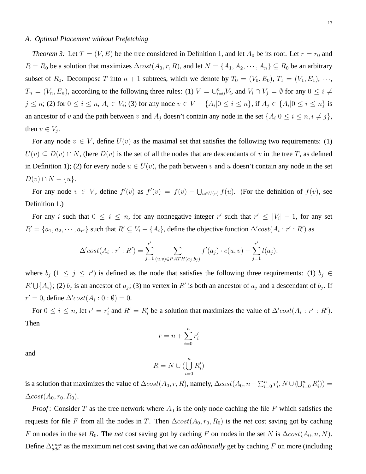#### *A. Optimal Placement without Prefetching*

*Theorem 3:* Let  $T = (V, E)$  be the tree considered in Definition 1, and let  $A_0$  be its root. Let  $r = r_0$  and  $R = R_0$  be a solution that maximizes  $\Delta cost(A_0, r, R)$ , and let  $N = \{A_1, A_2, \dots, A_n\} \subseteq R_0$  be an arbitrary subset of  $R_0$ . Decompose T into  $n + 1$  subtrees, which we denote by  $T_0 = (V_0, E_0)$ ,  $T_1 = (V_1, E_1)$ ,  $\cdots$ ,  $T_n = (V_n, E_n)$ , according to the following three rules: (1)  $V = \bigcup_{i=0}^n V_i$ , and  $V_i \cap V_j = \emptyset$  for any  $0 \le i \ne j$  $j \leq n$ ; (2) for  $0 \leq i \leq n$ ,  $A_i \in V_i$ ; (3) for any node  $v \in V - \{A_i | 0 \leq i \leq n\}$ , if  $A_j \in \{A_i | 0 \leq i \leq n\}$  is an ancestor of v and the path between v and  $A_j$  doesn't contain any node in the set  $\{A_i | 0 \le i \le n, i \ne j\}$ , then  $v \in V_j$ .

For any node  $v \in V$ , define  $U(v)$  as the maximal set that satisfies the following two requirements: (1)  $U(v) \subseteq D(v) \cap N$ , (here  $D(v)$  is the set of all the nodes that are descendants of v in the tree T, as defined in Definition 1); (2) for every node  $u \in U(v)$ , the path between v and u doesn't contain any node in the set  $D(v) \cap N - \{u\}.$ 

For any node  $v \in V$ , define  $f'(v)$  as  $f'(v) = f(v) - \bigcup_{u \in U(v)} f(u)$ . (For the definition of  $f(v)$ , see Definition 1.)

For any i such that  $0 \le i \le n$ , for any nonnegative integer r' such that  $r' \le |V_i| - 1$ , for any set  $R' = \{a_1, a_2, \dots, a_{r'}\}$  such that  $R' \subseteq V_i - \{A_i\}$ , define the objective function  $\Delta' cost(A_i : r' : R')$  as

$$
\Delta' cost(A_i : r' : R') = \sum_{j=1}^{r'} \sum_{(u,v) \in PATH(a_j, b_j)} f'(a_j) \cdot c(u, v) - \sum_{j=1}^{r'} l(a_j),
$$

where  $b_j$  ( $1 \le j \le r'$ ) is defined as the node that satisfies the following three requirements: (1)  $b_j \in$  $R' \cup \{A_i\}$ ; (2)  $b_j$  is an ancestor of  $a_j$ ; (3) no vertex in  $R'$  is both an ancestor of  $a_j$  and a descendant of  $b_j$ . If  $r' = 0$ , define  $\Delta' cost(A_i : 0 : \emptyset) = 0$ .

For  $0 \le i \le n$ , let  $r' = r'_i$  and  $R' = R'_i$  be a solution that maximizes the value of  $\Delta' cost(A_i : r' : R')$ . Then

$$
r = n + \sum_{i=0}^{n} r'_i
$$

and

$$
R = N \cup (\bigcup_{i=0}^{n} R'_i)
$$

is a solution that maximizes the value of  $\Delta cost(A_0, r, R)$ , namely,  $\Delta cost(A_0, n + \sum_{i=0}^n r'_i, N \cup (\bigcup_{i=0}^n R'_i)) =$  $\Delta cost(A_0, r_0, R_0).$ 

*Proof*: Consider T as the tree network where  $A_0$  is the only node caching the file F which satisfies the requests for file F from all the nodes in T. Then  $\Delta cost(A_0, r_0, R_0)$  is the *net* cost saving got by caching F on nodes in the set  $R_0$ . The *net* cost saving got by caching F on nodes in the set N is  $\Delta cost(A_0, n, N)$ . Define  $\Delta_{add}^{max}$  as the maximum net cost saving that we can *additionally* get by caching F on more (including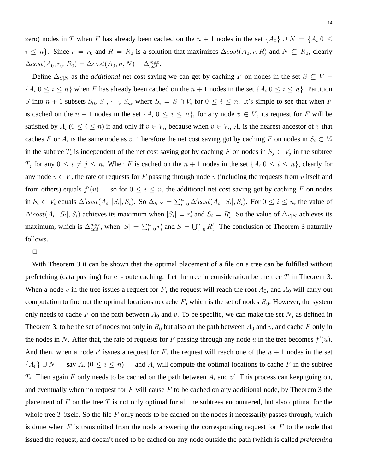zero) nodes in T when F has already been cached on the  $n + 1$  nodes in the set  $\{A_0\} \cup N = \{A_i | 0 \leq$  $i \leq n$ . Since  $r = r_0$  and  $R = R_0$  is a solution that maximizes  $\Delta cost(A_0, r, R)$  and  $N \subseteq R_0$ , clearly  $\Delta cost(A_0, r_0, R_0) = \Delta cost(A_0, n, N) + \Delta_{add}^{max}.$ 

Define  $\Delta_{S|N}$  as the *additional* net cost saving we can get by caching F on nodes in the set  $S \subseteq V {A_i|0 \leq i \leq n}$  when F has already been cached on the  $n+1$  nodes in the set  ${A_i|0 \leq i \leq n}$ . Partition S into  $n + 1$  subsets  $S_0, S_1, \dots, S_n$ , where  $S_i = S \cap V_i$  for  $0 \le i \le n$ . It's simple to see that when F is cached on the  $n + 1$  nodes in the set  $\{A_i | 0 \le i \le n\}$ , for any node  $v \in V$ , its request for F will be satisfied by  $A_i$  ( $0 \le i \le n$ ) if and only if  $v \in V_i$ , because when  $v \in V_i$ ,  $A_i$  is the nearest ancestor of v that caches F or  $A_i$  is the same node as v. Therefore the net cost saving got by caching F on nodes in  $S_i \subset V_i$ in the subtree  $T_i$  is independent of the net cost saving got by caching F on nodes in  $S_j \subset V_j$  in the subtree  $T_j$  for any  $0 \le i \ne j \le n$ . When F is cached on the  $n+1$  nodes in the set  $\{A_i | 0 \le i \le n\}$ , clearly for any node  $v \in V$ , the rate of requests for F passing through node v (including the requests from v itself and from others) equals  $f'(v)$  — so for  $0 \le i \le n$ , the additional net cost saving got by caching F on nodes in  $S_i \subset V_i$  equals  $\Delta' cost(A_i, |S_i|, S_i)$ . So  $\Delta_{S|N} = \sum_{i=0}^n \Delta' cost(A_i, |S_i|, S_i)$ . For  $0 \le i \le n$ , the value of  $\Delta' cost(A_i, |S_i|, S_i)$  achieves its maximum when  $|S_i| = r'_i$  and  $S_i = R'_i$ . So the value of  $\Delta_{S|N}$  achieves its maximum, which is  $\Delta_{add}^{max}$ , when  $|S| = \sum_{i=0}^{n} r'_i$  and  $S = \bigcup_{i=0}^{n} R'_i$ . The conclusion of Theorem 3 naturally follows.

 $\Box$ 

With Theorem 3 it can be shown that the optimal placement of a file on a tree can be fulfilled without prefetching (data pushing) for en-route caching. Let the tree in consideration be the tree  $T$  in Theorem 3. When a node v in the tree issues a request for F, the request will reach the root  $A_0$ , and  $A_0$  will carry out computation to find out the optimal locations to cache  $F$ , which is the set of nodes  $R_0$ . However, the system only needs to cache F on the path between  $A_0$  and v. To be specific, we can make the set N, as defined in Theorem 3, to be the set of nodes not only in  $R_0$  but also on the path between  $A_0$  and v, and cache F only in the nodes in N. After that, the rate of requests for F passing through any node u in the tree becomes  $f'(u)$ . And then, when a node  $v'$  issues a request for F, the request will reach one of the  $n + 1$  nodes in the set  ${A_0}$  ∪ N — say  $A_i$  ( $0 \le i \le n$ ) — and  $A_i$  will compute the optimal locations to cache F in the subtree  $T_i$ . Then again F only needs to be cached on the path between  $A_i$  and  $v'$ . This process can keep going on, and eventually when no request for  $F$  will cause  $F$  to be cached on any additional node, by Theorem 3 the placement of  $F$  on the tree  $T$  is not only optimal for all the subtrees encountered, but also optimal for the whole tree  $T$  itself. So the file  $F$  only needs to be cached on the nodes it necessarily passes through, which is done when  $F$  is transmitted from the node answering the corresponding request for  $F$  to the node that issued the request, and doesn't need to be cached on any node outside the path (which is called *prefetching*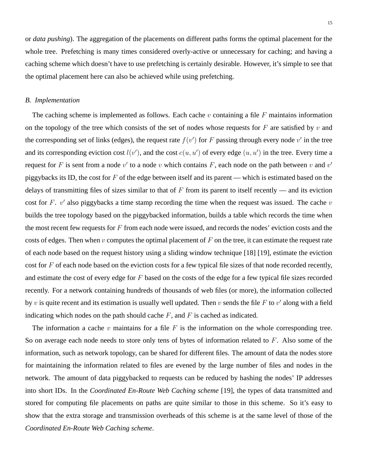or *data pushing*). The aggregation of the placements on different paths forms the optimal placement for the whole tree. Prefetching is many times considered overly-active or unnecessary for caching; and having a caching scheme which doesn't have to use prefetching is certainly desirable. However, it's simple to see that the optimal placement here can also be achieved while using prefetching.

### *B. Implementation*

The caching scheme is implemented as follows. Each cache  $v$  containing a file  $F$  maintains information on the topology of the tree which consists of the set of nodes whose requests for  $F$  are satisfied by  $v$  and the corresponding set of links (edges), the request rate  $f(v')$  for F passing through every node v' in the tree and its corresponding eviction cost  $l(v')$ , and the cost  $c(u, u')$  of every edge  $(u, u')$  in the tree. Every time a request for F is sent from a node v' to a node v which contains F, each node on the path between v and v' piggybacks its ID, the cost for  $F$  of the edge between itself and its parent — which is estimated based on the delays of transmitting files of sizes similar to that of  $F$  from its parent to itself recently — and its eviction cost for F.  $v'$  also piggybacks a time stamp recording the time when the request was issued. The cache  $v$ builds the tree topology based on the piggybacked information, builds a table which records the time when the most recent few requests for  $F$  from each node were issued, and records the nodes' eviction costs and the costs of edges. Then when v computes the optimal placement of  $F$  on the tree, it can estimate the request rate of each node based on the request history using a sliding window technique [18] [19], estimate the eviction cost for  $F$  of each node based on the eviction costs for a few typical file sizes of that node recorded recently, and estimate the cost of every edge for F based on the costs of the edge for a few typical file sizes recorded recently. For a network containing hundreds of thousands of web files (or more), the information collected by v is quite recent and its estimation is usually well updated. Then v sends the file F to v' along with a field indicating which nodes on the path should cache  $F$ , and  $F$  is cached as indicated.

The information a cache  $v$  maintains for a file  $F$  is the information on the whole corresponding tree. So on average each node needs to store only tens of bytes of information related to  $F$ . Also some of the information, such as network topology, can be shared for different files. The amount of data the nodes store for maintaining the information related to files are evened by the large number of files and nodes in the network. The amount of data piggybacked to requests can be reduced by hashing the nodes' IP addresses into short IDs. In the *Coordinated En-Route Web Caching scheme* [19], the types of data transmitted and stored for computing file placements on paths are quite similar to those in this scheme. So it's easy to show that the extra storage and transmission overheads of this scheme is at the same level of those of the *Coordinated En-Route Web Caching scheme*.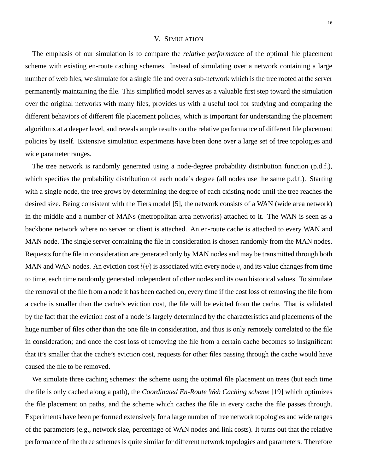#### V. SIMULATION

The emphasis of our simulation is to compare the *relative performance* of the optimal file placement scheme with existing en-route caching schemes. Instead of simulating over a network containing a large number of web files, we simulate for a single file and over a sub-network which is the tree rooted at the server permanently maintaining the file. This simplified model serves as a valuable first step toward the simulation over the original networks with many files, provides us with a useful tool for studying and comparing the different behaviors of different file placement policies, which is important for understanding the placement algorithms at a deeper level, and reveals ample results on the relative performance of different file placement policies by itself. Extensive simulation experiments have been done over a large set of tree topologies and wide parameter ranges.

The tree network is randomly generated using a node-degree probability distribution function (p.d.f.), which specifies the probability distribution of each node's degree (all nodes use the same p.d.f.). Starting with a single node, the tree grows by determining the degree of each existing node until the tree reaches the desired size. Being consistent with the Tiers model [5], the network consists of a WAN (wide area network) in the middle and a number of MANs (metropolitan area networks) attached to it. The WAN is seen as a backbone network where no server or client is attached. An en-route cache is attached to every WAN and MAN node. The single server containing the file in consideration is chosen randomly from the MAN nodes. Requests for the file in consideration are generated only by MAN nodes and may be transmitted through both MAN and WAN nodes. An eviction cost  $l(v)$  is associated with every node v, and its value changes from time to time, each time randomly generated independent of other nodes and its own historical values. To simulate the removal of the file from a node it has been cached on, every time if the cost loss of removing the file from a cache is smaller than the cache's eviction cost, the file will be evicted from the cache. That is validated by the fact that the eviction cost of a node is largely determined by the characteristics and placements of the huge number of files other than the one file in consideration, and thus is only remotely correlated to the file in consideration; and once the cost loss of removing the file from a certain cache becomes so insignificant that it's smaller that the cache's eviction cost, requests for other files passing through the cache would have caused the file to be removed.

We simulate three caching schemes: the scheme using the optimal file placement on trees (but each time the file is only cached along a path), the *Coordinated En-Route Web Caching scheme* [19] which optimizes the file placement on paths, and the scheme which caches the file in every cache the file passes through. Experiments have been performed extensively for a large number of tree network topologies and wide ranges of the parameters (e.g., network size, percentage of WAN nodes and link costs). It turns out that the relative performance of the three schemes is quite similar for different network topologies and parameters. Therefore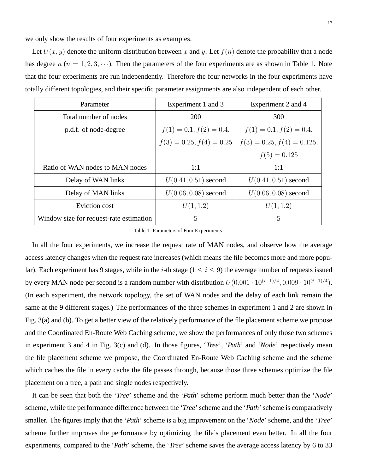we only show the results of four experiments as examples.

Let  $U(x, y)$  denote the uniform distribution between x and y. Let  $f(n)$  denote the probability that a node has degree  $n (n = 1, 2, 3, \dots)$ . Then the parameters of the four experiments are as shown in Table 1. Note that the four experiments are run independently. Therefore the four networks in the four experiments have totally different topologies, and their specific parameter assignments are also independent of each other.

| Parameter                               | Experiment 1 and 3         | Experiment 2 and 4           |
|-----------------------------------------|----------------------------|------------------------------|
| Total number of nodes                   | 200                        | 300                          |
| p.d.f. of node-degree                   | $f(1) = 0.1, f(2) = 0.4,$  | $f(1) = 0.1, f(2) = 0.4,$    |
|                                         | $f(3) = 0.25, f(4) = 0.25$ | $f(3) = 0.25, f(4) = 0.125,$ |
|                                         |                            | $f(5) = 0.125$               |
| Ratio of WAN nodes to MAN nodes         | 1:1                        | 1:1                          |
| Delay of WAN links                      | $U(0.41, 0.51)$ second     | $U(0.41, 0.51)$ second       |
| Delay of MAN links                      | $U(0.06, 0.08)$ second     | $U(0.06, 0.08)$ second       |
| Eviction cost                           | U(1, 1.2)                  | U(1, 1.2)                    |
| Window size for request-rate estimation | 5                          | 5                            |

Table 1: Parameters of Four Experiments

In all the four experiments, we increase the request rate of MAN nodes, and observe how the average access latency changes when the request rate increases (which means the file becomes more and more popular). Each experiment has 9 stages, while in the *i*-th stage ( $1 \le i \le 9$ ) the average number of requests issued by every MAN node per second is a random number with distribution  $U(0.001 \cdot 10^{(i-1)/4}, 0.009 \cdot 10^{(i-1)/4})$ . (In each experiment, the network topology, the set of WAN nodes and the delay of each link remain the same at the 9 different stages.) The performances of the three schemes in experiment 1 and 2 are shown in Fig. 3(a) and (b). To get a better view of the relatively performance of the file placement scheme we propose and the Coordinated En-Route Web Caching scheme, we show the performances of only those two schemes in experiment 3 and 4 in Fig. 3(c) and (d). In those figures, '*Tree*', '*Path*' and '*Node*' respectively mean the file placement scheme we propose, the Coordinated En-Route Web Caching scheme and the scheme which caches the file in every cache the file passes through, because those three schemes optimize the file placement on a tree, a path and single nodes respectively.

It can be seen that both the '*Tree*' scheme and the '*Path*' scheme perform much better than the '*Node*' scheme, while the performance difference between the '*Tree*' scheme and the '*Path*' scheme is comparatively smaller. The figures imply that the '*Path*' scheme is a big improvement on the '*Node*' scheme, and the '*Tree*' scheme further improves the performance by optimizing the file's placement even better. In all the four experiments, compared to the '*Path*' scheme, the '*Tree*' scheme saves the average access latency by 6 to 33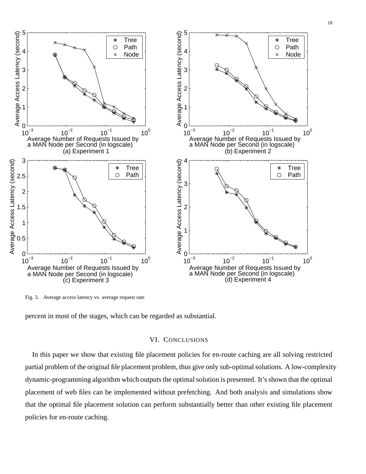

Fig. 3. Average access latency vs. average request rate

percent in most of the stages, which can be regarded as substantial.

## VI. CONCLUSIONS

In this paper we show that existing file placement policies for en-route caching are all solving restricted partial problem of the original file placement problem, thus give only sub-optimal solutions. A low-complexity dynamic-programming algorithm which outputs the optimal solution is presented. It's shown that the optimal placement of web files can be implemented without prefetching. And both analysis and simulations show that the optimal file placement solution can perform substantially better than other existing file placement policies for en-route caching.